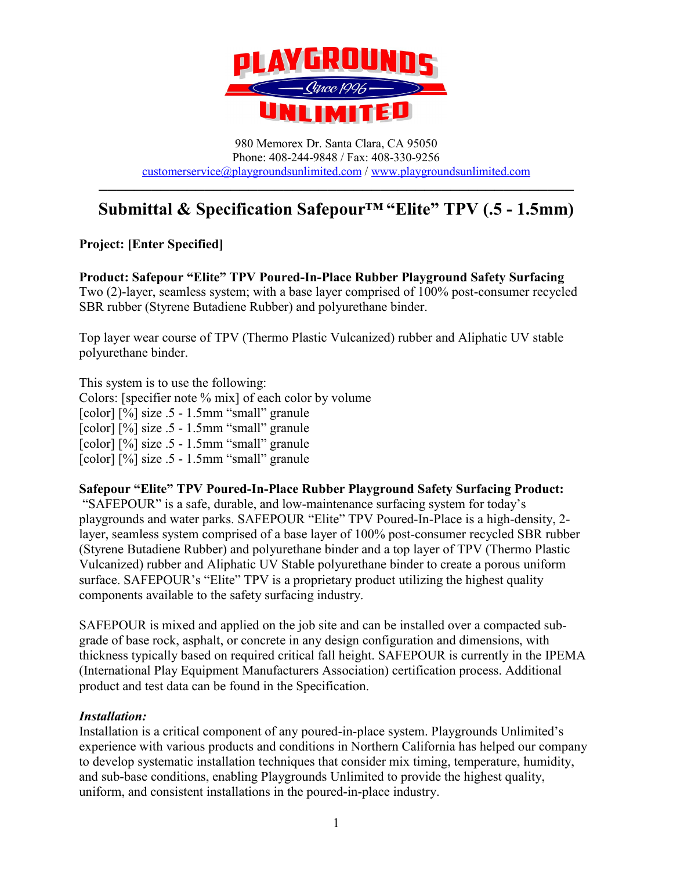

980 Memorex Dr. Santa Clara, CA 95050 Phone: 408-244-9848 / Fax: 408-330-9256 [customerservice@playgroundsunlimited.com](mailto:customerservice@playgroundsunlimited.com) / [www.playgroundsunlimited.com](http://www.playgroundsunlimited.com/)

# **–––––––––––––––––––––––––––––––––––––––––––––––––––––– Submittal & Specification Safepour™ "Elite" TPV (.5 - 1.5mm)**

**Project: [Enter Specified]**

**Product: Safepour "Elite" TPV Poured-In-Place Rubber Playground Safety Surfacing** Two (2)-layer, seamless system; with a base layer comprised of 100% post-consumer recycled SBR rubber (Styrene Butadiene Rubber) and polyurethane binder.

Top layer wear course of TPV (Thermo Plastic Vulcanized) rubber and Aliphatic UV stable polyurethane binder.

This system is to use the following: Colors: [specifier note % mix] of each color by volume [color] [%] size .5 - 1.5mm "small" granule [color] [%] size .5 - 1.5mm "small" granule [color] [%] size .5 - 1.5mm "small" granule [color] [%] size .5 - 1.5mm "small" granule

**Safepour "Elite" TPV Poured-In-Place Rubber Playground Safety Surfacing Product:** "SAFEPOUR" is a safe, durable, and low-maintenance surfacing system for today's playgrounds and water parks. SAFEPOUR "Elite" TPV Poured-In-Place is a high-density, 2 layer, seamless system comprised of a base layer of 100% post-consumer recycled SBR rubber (Styrene Butadiene Rubber) and polyurethane binder and a top layer of TPV (Thermo Plastic Vulcanized) rubber and Aliphatic UV Stable polyurethane binder to create a porous uniform surface. SAFEPOUR's "Elite" TPV is a proprietary product utilizing the highest quality components available to the safety surfacing industry.

SAFEPOUR is mixed and applied on the job site and can be installed over a compacted subgrade of base rock, asphalt, or concrete in any design configuration and dimensions, with thickness typically based on required critical fall height. SAFEPOUR is currently in the IPEMA (International Play Equipment Manufacturers Association) certification process. Additional product and test data can be found in the Specification.

#### *Installation:*

Installation is a critical component of any poured-in-place system. Playgrounds Unlimited's experience with various products and conditions in Northern California has helped our company to develop systematic installation techniques that consider mix timing, temperature, humidity, and sub-base conditions, enabling Playgrounds Unlimited to provide the highest quality, uniform, and consistent installations in the poured-in-place industry.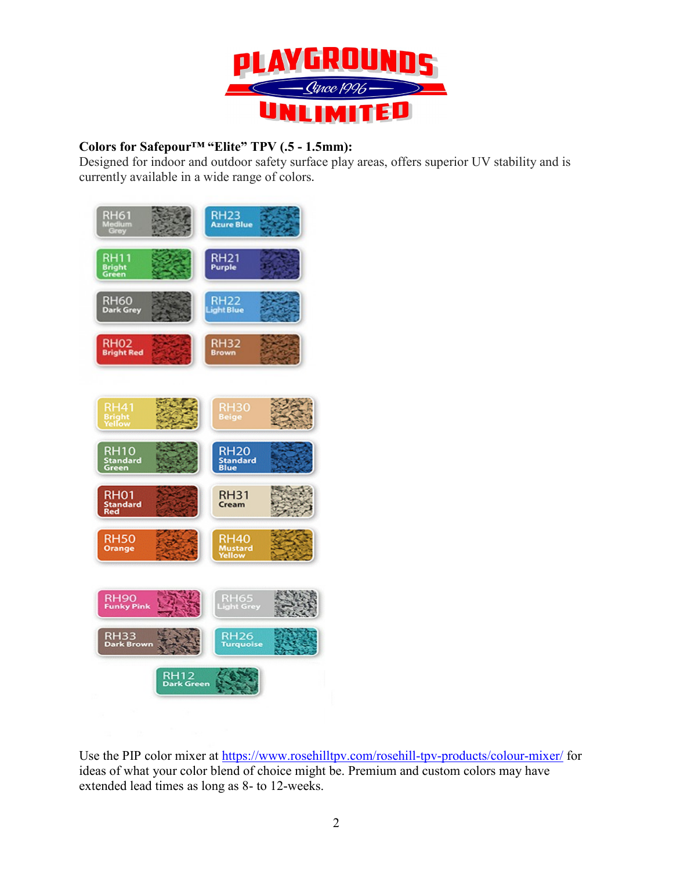

# **Colors for Safepour™ "Elite" TPV (.5 - 1.5mm):**

Designed for indoor and outdoor safety surface play areas, offers superior UV stability and is currently available in a wide range of colors**.**



Use the PIP color mixer at<https://www.rosehilltpv.com/rosehill-tpv-products/colour-mixer/> for ideas of what your color blend of choice might be. Premium and custom colors may have extended lead times as long as 8- to 12-weeks.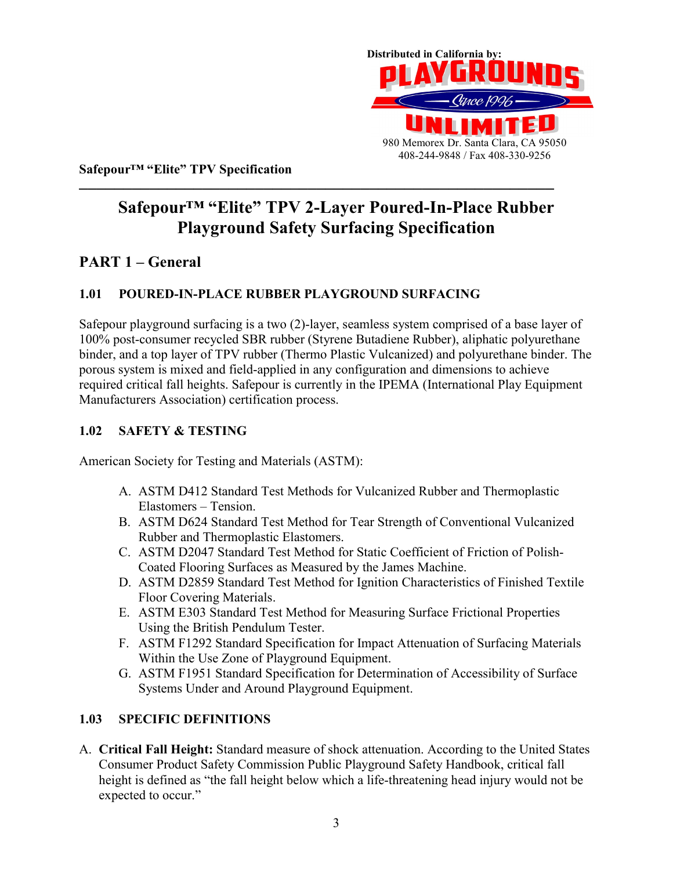

**Safepour™ "Elite" TPV Specification**

# **–––––––––––––––––––––––––––––––––––––––––––––––––––––– Safepour™ "Elite" TPV 2-Layer Poured-In-Place Rubber Playground Safety Surfacing Specification**

# **PART 1 – General**

# **1.01 POURED-IN-PLACE RUBBER PLAYGROUND SURFACING**

Safepour playground surfacing is a two (2)-layer, seamless system comprised of a base layer of 100% post-consumer recycled SBR rubber (Styrene Butadiene Rubber), aliphatic polyurethane binder, and a top layer of TPV rubber (Thermo Plastic Vulcanized) and polyurethane binder. The porous system is mixed and field-applied in any configuration and dimensions to achieve required critical fall heights. Safepour is currently in the IPEMA (International Play Equipment Manufacturers Association) certification process.

# **1.02 SAFETY & TESTING**

American Society for Testing and Materials (ASTM):

- A. ASTM D412 Standard Test Methods for Vulcanized Rubber and Thermoplastic Elastomers – Tension.
- B. ASTM D624 Standard Test Method for Tear Strength of Conventional Vulcanized Rubber and Thermoplastic Elastomers.
- C. ASTM D2047 Standard Test Method for Static Coefficient of Friction of Polish-Coated Flooring Surfaces as Measured by the James Machine.
- D. ASTM D2859 Standard Test Method for Ignition Characteristics of Finished Textile Floor Covering Materials.
- E. ASTM E303 Standard Test Method for Measuring Surface Frictional Properties Using the British Pendulum Tester.
- F. ASTM F1292 Standard Specification for Impact Attenuation of Surfacing Materials Within the Use Zone of Playground Equipment.
- G. ASTM F1951 Standard Specification for Determination of Accessibility of Surface Systems Under and Around Playground Equipment.

# **1.03 SPECIFIC DEFINITIONS**

A. **Critical Fall Height:** Standard measure of shock attenuation. According to the United States Consumer Product Safety Commission Public Playground Safety Handbook, critical fall height is defined as "the fall height below which a life-threatening head injury would not be expected to occur."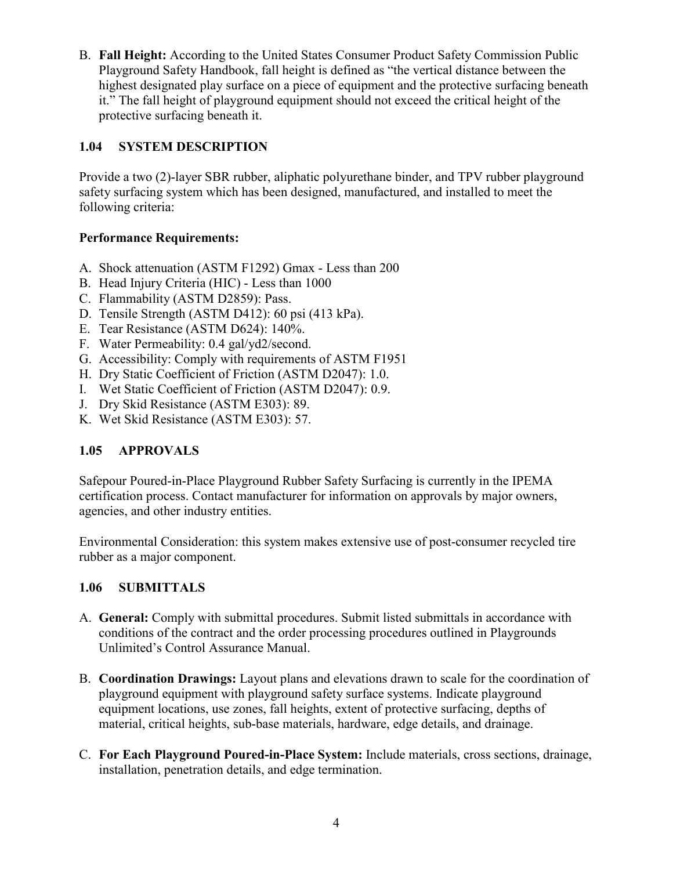B. **Fall Height:** According to the United States Consumer Product Safety Commission Public Playground Safety Handbook, fall height is defined as "the vertical distance between the highest designated play surface on a piece of equipment and the protective surfacing beneath it." The fall height of playground equipment should not exceed the critical height of the protective surfacing beneath it.

# **1.04 SYSTEM DESCRIPTION**

Provide a two (2)-layer SBR rubber, aliphatic polyurethane binder, and TPV rubber playground safety surfacing system which has been designed, manufactured, and installed to meet the following criteria:

# **Performance Requirements:**

- A. Shock attenuation (ASTM F1292) Gmax Less than 200
- B. Head Injury Criteria (HIC) Less than 1000
- C. Flammability (ASTM D2859): Pass.
- D. Tensile Strength (ASTM D412): 60 psi (413 kPa).
- E. Tear Resistance (ASTM D624): 140%.
- F. Water Permeability: 0.4 gal/yd2/second.
- G. Accessibility: Comply with requirements of ASTM F1951
- H. Dry Static Coefficient of Friction (ASTM D2047): 1.0.
- I. Wet Static Coefficient of Friction (ASTM D2047): 0.9.
- J. Dry Skid Resistance (ASTM E303): 89.
- K. Wet Skid Resistance (ASTM E303): 57.

# **1.05 APPROVALS**

Safepour Poured-in-Place Playground Rubber Safety Surfacing is currently in the IPEMA certification process. Contact manufacturer for information on approvals by major owners, agencies, and other industry entities.

Environmental Consideration: this system makes extensive use of post-consumer recycled tire rubber as a major component.

# **1.06 SUBMITTALS**

- A. **General:** Comply with submittal procedures. Submit listed submittals in accordance with conditions of the contract and the order processing procedures outlined in Playgrounds Unlimited's Control Assurance Manual.
- B. **Coordination Drawings:** Layout plans and elevations drawn to scale for the coordination of playground equipment with playground safety surface systems. Indicate playground equipment locations, use zones, fall heights, extent of protective surfacing, depths of material, critical heights, sub-base materials, hardware, edge details, and drainage.
- C. **For Each Playground Poured-in-Place System:** Include materials, cross sections, drainage, installation, penetration details, and edge termination.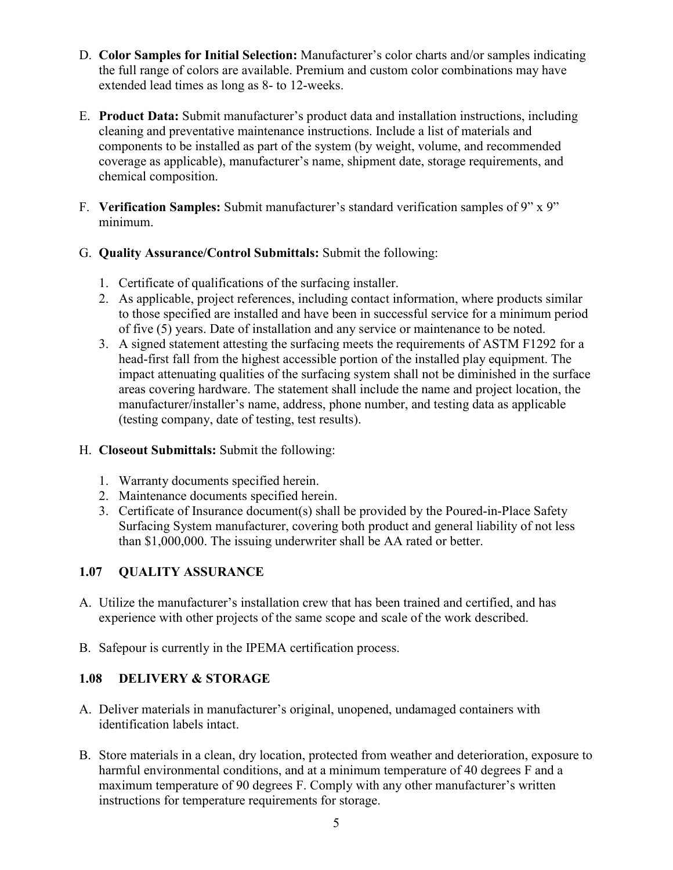- D. **Color Samples for Initial Selection:** Manufacturer's color charts and/or samples indicating the full range of colors are available. Premium and custom color combinations may have extended lead times as long as 8- to 12-weeks.
- E. **Product Data:** Submit manufacturer's product data and installation instructions, including cleaning and preventative maintenance instructions. Include a list of materials and components to be installed as part of the system (by weight, volume, and recommended coverage as applicable), manufacturer's name, shipment date, storage requirements, and chemical composition.
- F. **Verification Samples:** Submit manufacturer's standard verification samples of 9" x 9" minimum.
- G. **Quality Assurance/Control Submittals:** Submit the following:
	- 1. Certificate of qualifications of the surfacing installer.
	- 2. As applicable, project references, including contact information, where products similar to those specified are installed and have been in successful service for a minimum period of five (5) years. Date of installation and any service or maintenance to be noted.
	- 3. A signed statement attesting the surfacing meets the requirements of ASTM F1292 for a head-first fall from the highest accessible portion of the installed play equipment. The impact attenuating qualities of the surfacing system shall not be diminished in the surface areas covering hardware. The statement shall include the name and project location, the manufacturer/installer's name, address, phone number, and testing data as applicable (testing company, date of testing, test results).

# H. **Closeout Submittals:** Submit the following:

- 1. Warranty documents specified herein.
- 2. Maintenance documents specified herein.
- 3. Certificate of Insurance document(s) shall be provided by the Poured-in-Place Safety Surfacing System manufacturer, covering both product and general liability of not less than \$1,000,000. The issuing underwriter shall be AA rated or better.

# **1.07 QUALITY ASSURANCE**

- A. Utilize the manufacturer's installation crew that has been trained and certified, and has experience with other projects of the same scope and scale of the work described.
- B. Safepour is currently in the IPEMA certification process.

# **1.08 DELIVERY & STORAGE**

- A. Deliver materials in manufacturer's original, unopened, undamaged containers with identification labels intact.
- B. Store materials in a clean, dry location, protected from weather and deterioration, exposure to harmful environmental conditions, and at a minimum temperature of 40 degrees F and a maximum temperature of 90 degrees F. Comply with any other manufacturer's written instructions for temperature requirements for storage.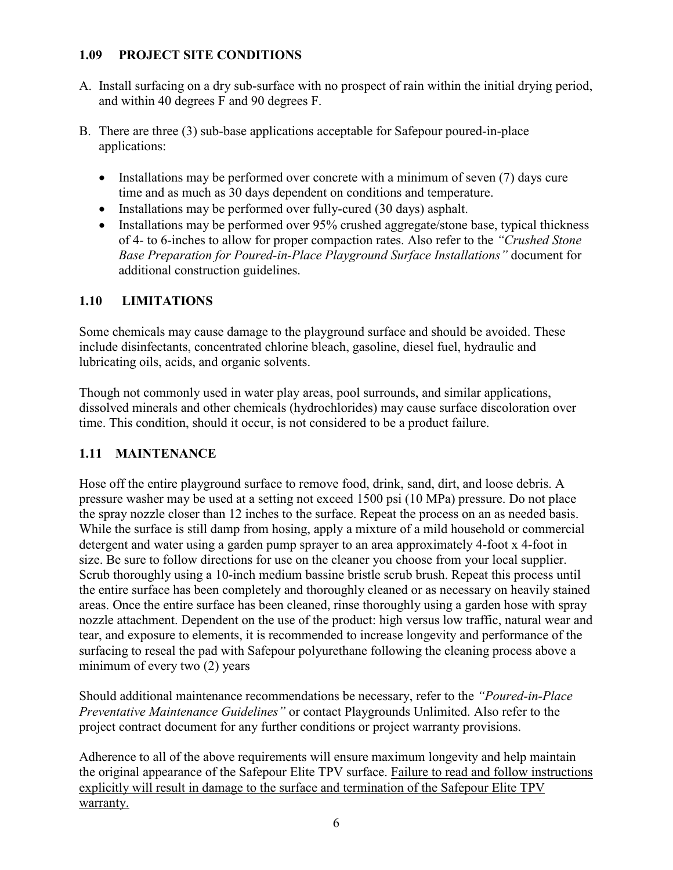#### **1.09 PROJECT SITE CONDITIONS**

- A. Install surfacing on a dry sub-surface with no prospect of rain within the initial drying period, and within 40 degrees F and 90 degrees F.
- B. There are three (3) sub-base applications acceptable for Safepour poured-in-place applications:
	- Installations may be performed over concrete with a minimum of seven (7) days cure time and as much as 30 days dependent on conditions and temperature.
	- Installations may be performed over fully-cured (30 days) asphalt.
	- Installations may be performed over 95% crushed aggregate/stone base, typical thickness of 4- to 6-inches to allow for proper compaction rates. Also refer to the *"Crushed Stone Base Preparation for Poured-in-Place Playground Surface Installations"* document for additional construction guidelines.

# **1.10 LIMITATIONS**

Some chemicals may cause damage to the playground surface and should be avoided. These include disinfectants, concentrated chlorine bleach, gasoline, diesel fuel, hydraulic and lubricating oils, acids, and organic solvents.

Though not commonly used in water play areas, pool surrounds, and similar applications, dissolved minerals and other chemicals (hydrochlorides) may cause surface discoloration over time. This condition, should it occur, is not considered to be a product failure.

# **1.11 MAINTENANCE**

Hose off the entire playground surface to remove food, drink, sand, dirt, and loose debris. A pressure washer may be used at a setting not exceed 1500 psi (10 MPa) pressure. Do not place the spray nozzle closer than 12 inches to the surface. Repeat the process on an as needed basis. While the surface is still damp from hosing, apply a mixture of a mild household or commercial detergent and water using a garden pump sprayer to an area approximately 4-foot x 4-foot in size. Be sure to follow directions for use on the cleaner you choose from your local supplier. Scrub thoroughly using a 10-inch medium bassine bristle scrub brush. Repeat this process until the entire surface has been completely and thoroughly cleaned or as necessary on heavily stained areas. Once the entire surface has been cleaned, rinse thoroughly using a garden hose with spray nozzle attachment. Dependent on the use of the product: high versus low traffic, natural wear and tear, and exposure to elements, it is recommended to increase longevity and performance of the surfacing to reseal the pad with Safepour polyurethane following the cleaning process above a minimum of every two (2) years

Should additional maintenance recommendations be necessary, refer to the *"Poured-in-Place Preventative Maintenance Guidelines"* or contact Playgrounds Unlimited. Also refer to the project contract document for any further conditions or project warranty provisions.

Adherence to all of the above requirements will ensure maximum longevity and help maintain the original appearance of the Safepour Elite TPV surface. Failure to read and follow instructions explicitly will result in damage to the surface and termination of the Safepour Elite TPV warranty.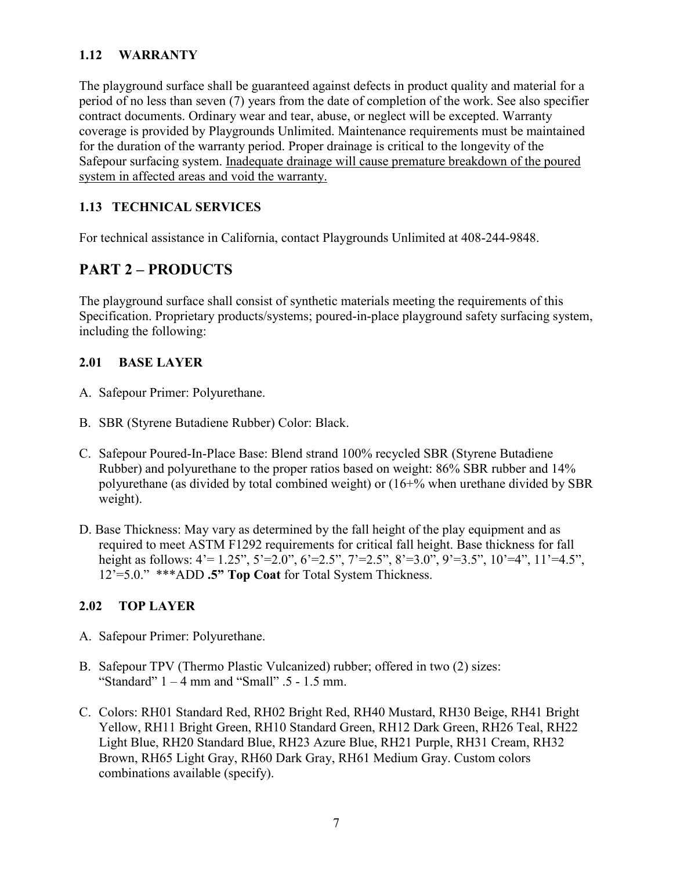### **1.12 WARRANTY**

The playground surface shall be guaranteed against defects in product quality and material for a period of no less than seven (7) years from the date of completion of the work. See also specifier contract documents. Ordinary wear and tear, abuse, or neglect will be excepted. Warranty coverage is provided by Playgrounds Unlimited. Maintenance requirements must be maintained for the duration of the warranty period. Proper drainage is critical to the longevity of the Safepour surfacing system. Inadequate drainage will cause premature breakdown of the poured system in affected areas and void the warranty.

### **1.13 TECHNICAL SERVICES**

For technical assistance in California, contact Playgrounds Unlimited at 408-244-9848.

# **PART 2 – PRODUCTS**

The playground surface shall consist of synthetic materials meeting the requirements of this Specification. Proprietary products/systems; poured-in-place playground safety surfacing system, including the following:

#### **2.01 BASE LAYER**

- A. Safepour Primer: Polyurethane.
- B. SBR (Styrene Butadiene Rubber) Color: Black.
- C. Safepour Poured-In-Place Base: Blend strand 100% recycled SBR (Styrene Butadiene Rubber) and polyurethane to the proper ratios based on weight: 86% SBR rubber and 14% polyurethane (as divided by total combined weight) or (16+% when urethane divided by SBR weight).
- D. Base Thickness: May vary as determined by the fall height of the play equipment and as required to meet ASTM F1292 requirements for critical fall height. Base thickness for fall height as follows:  $4' = 1.25$ ",  $5' = 2.0$ ",  $6' = 2.5$ ",  $7' = 2.5$ ",  $8' = 3.0$ ",  $9' = 3.5$ ",  $10' = 4$ ",  $11' = 4.5$ ", 12'=5.0." \*\*\*ADD **.5" Top Coat** for Total System Thickness.

#### **2.02 TOP LAYER**

- A. Safepour Primer: Polyurethane.
- B. Safepour TPV (Thermo Plastic Vulcanized) rubber; offered in two (2) sizes: "Standard"  $1 - 4$  mm and "Small"  $.5 - 1.5$  mm.
- C. Colors: RH01 Standard Red, RH02 Bright Red, RH40 Mustard, RH30 Beige, RH41 Bright Yellow, RH11 Bright Green, RH10 Standard Green, RH12 Dark Green, RH26 Teal, RH22 Light Blue, RH20 Standard Blue, RH23 Azure Blue, RH21 Purple, RH31 Cream, RH32 Brown, RH65 Light Gray, RH60 Dark Gray, RH61 Medium Gray. Custom colors combinations available (specify).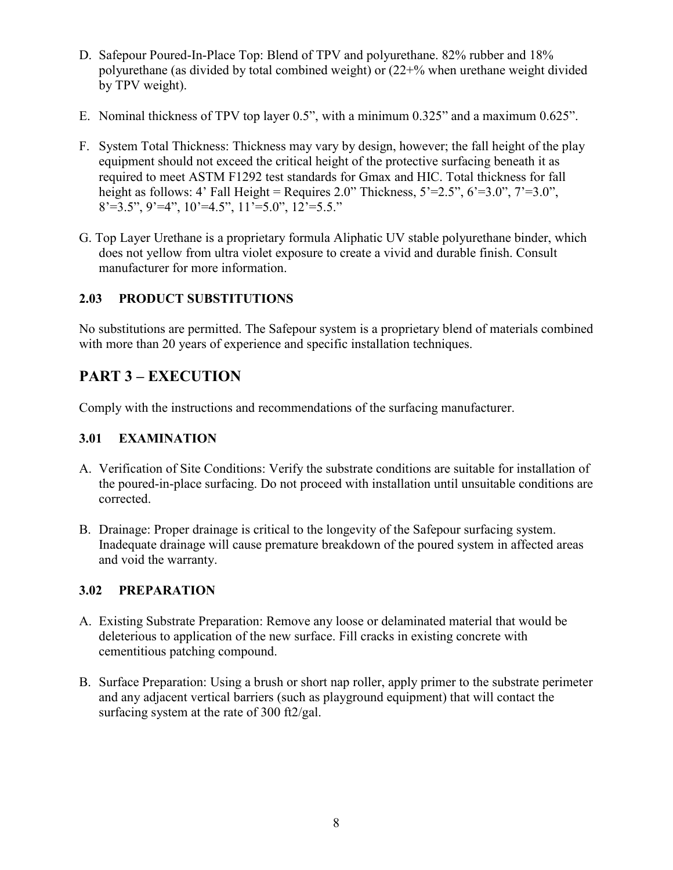- D. Safepour Poured-In-Place Top: Blend of TPV and polyurethane. 82% rubber and 18% polyurethane (as divided by total combined weight) or (22+% when urethane weight divided by TPV weight).
- E. Nominal thickness of TPV top layer 0.5", with a minimum 0.325" and a maximum 0.625".
- F. System Total Thickness: Thickness may vary by design, however; the fall height of the play equipment should not exceed the critical height of the protective surfacing beneath it as required to meet ASTM F1292 test standards for Gmax and HIC. Total thickness for fall height as follows: 4' Fall Height = Requires 2.0" Thickness,  $5'=2.5"$ ,  $6'=3.0"$ ,  $7'=3.0"$ ,  $8' = 3.5$ ",  $9' = 4$ ",  $10' = 4.5$ ",  $11' = 5.0$ ",  $12' = 5.5$ ."
- G. Top Layer Urethane is a proprietary formula Aliphatic UV stable polyurethane binder, which does not yellow from ultra violet exposure to create a vivid and durable finish. Consult manufacturer for more information.

### **2.03 PRODUCT SUBSTITUTIONS**

No substitutions are permitted. The Safepour system is a proprietary blend of materials combined with more than 20 years of experience and specific installation techniques.

# **PART 3 – EXECUTION**

Comply with the instructions and recommendations of the surfacing manufacturer.

#### **3.01 EXAMINATION**

- A. Verification of Site Conditions: Verify the substrate conditions are suitable for installation of the poured-in-place surfacing. Do not proceed with installation until unsuitable conditions are corrected.
- B. Drainage: Proper drainage is critical to the longevity of the Safepour surfacing system. Inadequate drainage will cause premature breakdown of the poured system in affected areas and void the warranty.

#### **3.02 PREPARATION**

- A. Existing Substrate Preparation: Remove any loose or delaminated material that would be deleterious to application of the new surface. Fill cracks in existing concrete with cementitious patching compound.
- B. Surface Preparation: Using a brush or short nap roller, apply primer to the substrate perimeter and any adjacent vertical barriers (such as playground equipment) that will contact the surfacing system at the rate of 300 ft2/gal.